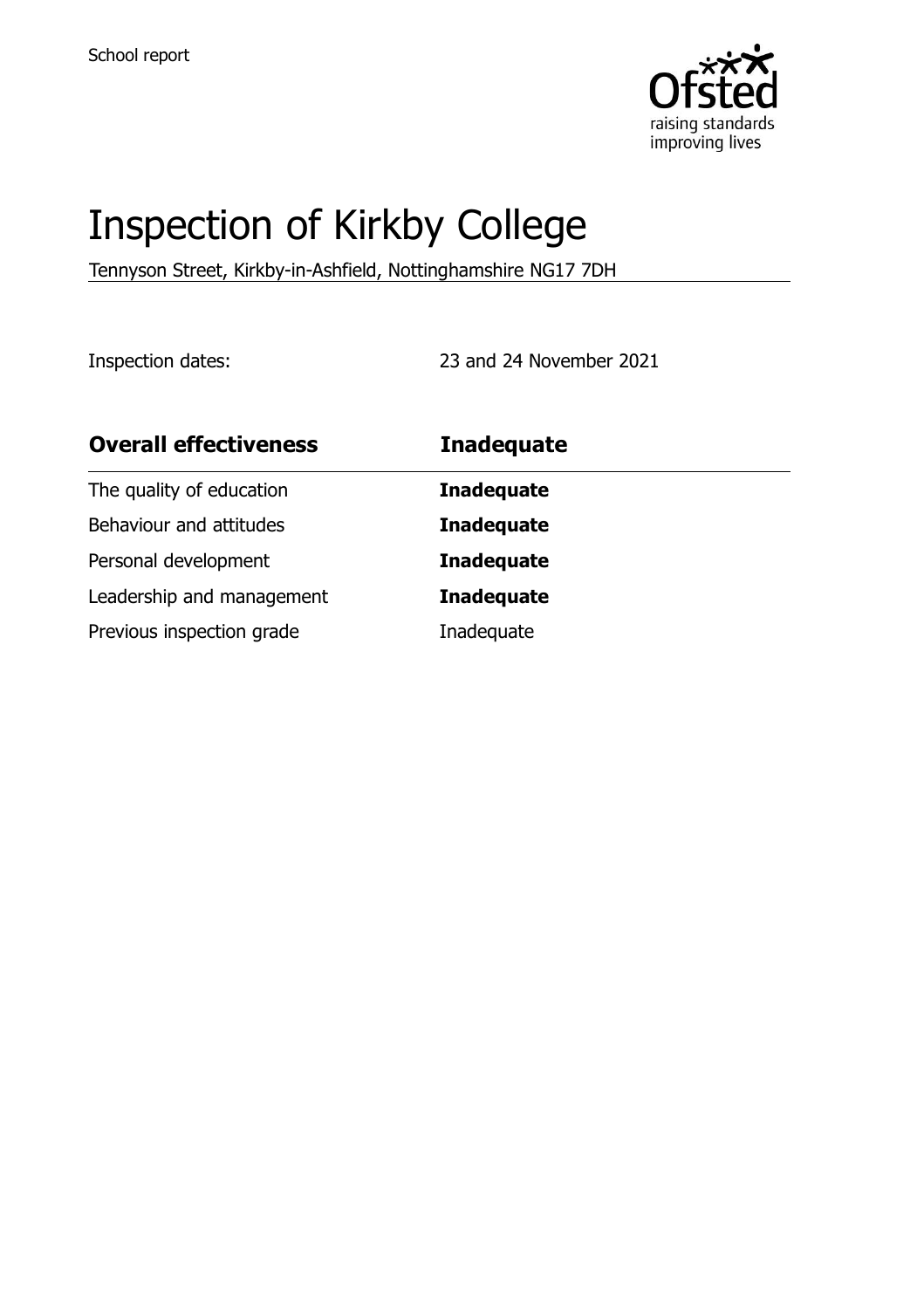

# Inspection of Kirkby College

Tennyson Street, Kirkby-in-Ashfield, Nottinghamshire NG17 7DH

Inspection dates: 23 and 24 November 2021

| <b>Overall effectiveness</b> | <b>Inadequate</b> |
|------------------------------|-------------------|
| The quality of education     | <b>Inadequate</b> |
| Behaviour and attitudes      | <b>Inadequate</b> |
| Personal development         | <b>Inadequate</b> |
| Leadership and management    | <b>Inadequate</b> |
| Previous inspection grade    | Inadequate        |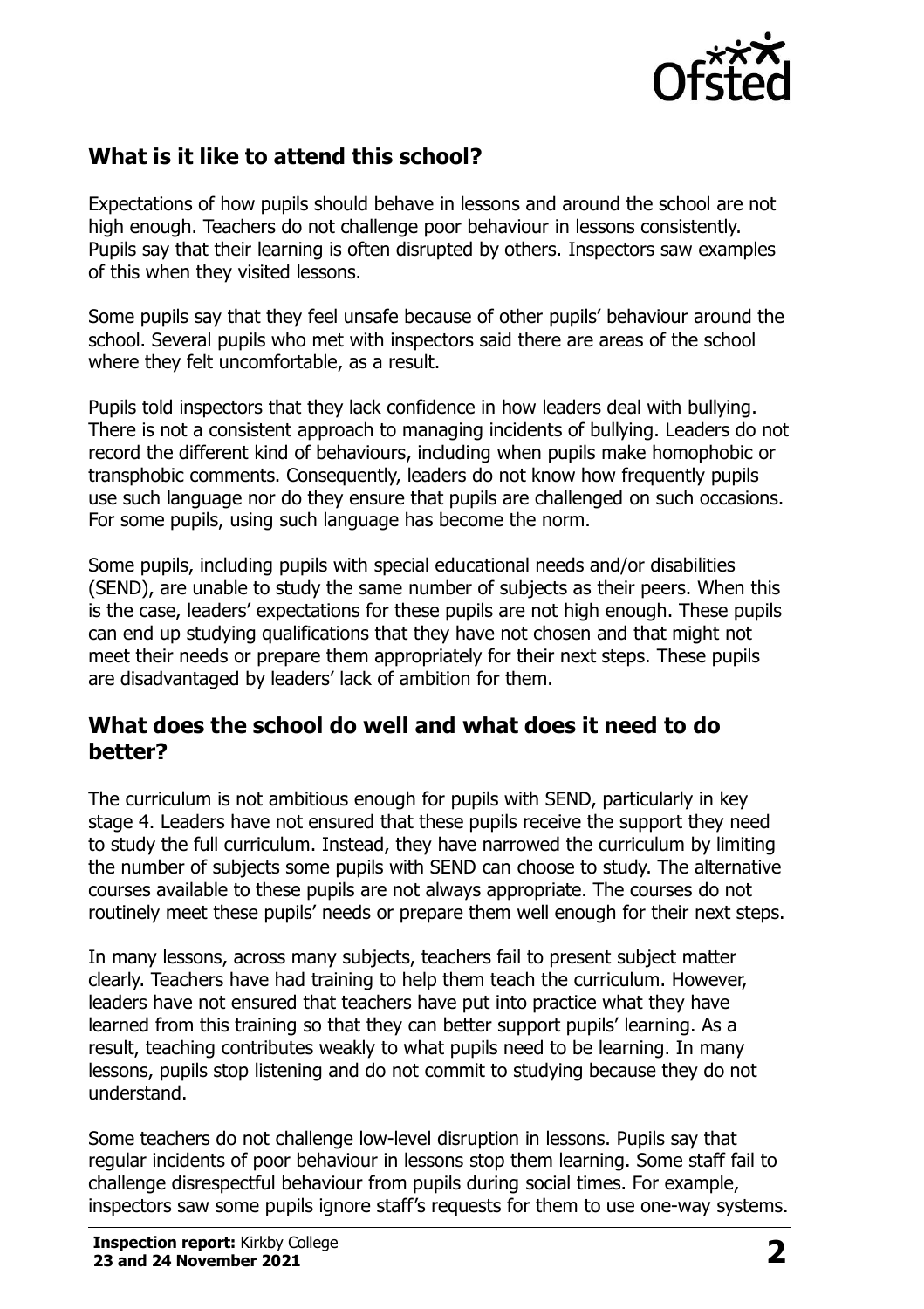

# **What is it like to attend this school?**

Expectations of how pupils should behave in lessons and around the school are not high enough. Teachers do not challenge poor behaviour in lessons consistently. Pupils say that their learning is often disrupted by others. Inspectors saw examples of this when they visited lessons.

Some pupils say that they feel unsafe because of other pupils' behaviour around the school. Several pupils who met with inspectors said there are areas of the school where they felt uncomfortable, as a result.

Pupils told inspectors that they lack confidence in how leaders deal with bullying. There is not a consistent approach to managing incidents of bullying. Leaders do not record the different kind of behaviours, including when pupils make homophobic or transphobic comments. Consequently, leaders do not know how frequently pupils use such language nor do they ensure that pupils are challenged on such occasions. For some pupils, using such language has become the norm.

Some pupils, including pupils with special educational needs and/or disabilities (SEND), are unable to study the same number of subjects as their peers. When this is the case, leaders' expectations for these pupils are not high enough. These pupils can end up studying qualifications that they have not chosen and that might not meet their needs or prepare them appropriately for their next steps. These pupils are disadvantaged by leaders' lack of ambition for them.

#### **What does the school do well and what does it need to do better?**

The curriculum is not ambitious enough for pupils with SEND, particularly in key stage 4. Leaders have not ensured that these pupils receive the support they need to study the full curriculum. Instead, they have narrowed the curriculum by limiting the number of subjects some pupils with SEND can choose to study. The alternative courses available to these pupils are not always appropriate. The courses do not routinely meet these pupils' needs or prepare them well enough for their next steps.

In many lessons, across many subjects, teachers fail to present subject matter clearly. Teachers have had training to help them teach the curriculum. However, leaders have not ensured that teachers have put into practice what they have learned from this training so that they can better support pupils' learning. As a result, teaching contributes weakly to what pupils need to be learning. In many lessons, pupils stop listening and do not commit to studying because they do not understand.

Some teachers do not challenge low-level disruption in lessons. Pupils say that regular incidents of poor behaviour in lessons stop them learning. Some staff fail to challenge disrespectful behaviour from pupils during social times. For example, inspectors saw some pupils ignore staff's requests for them to use one-way systems.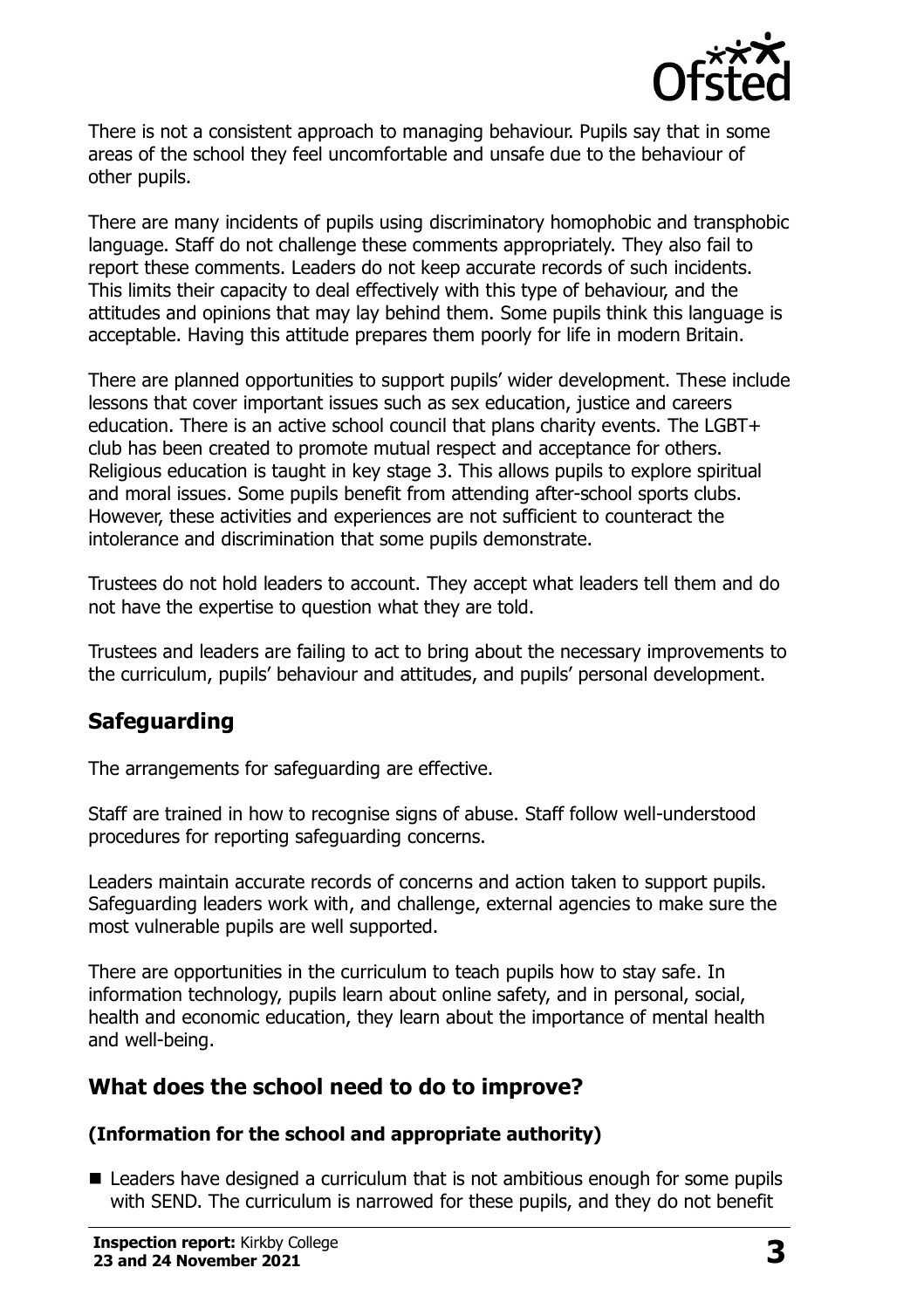

There is not a consistent approach to managing behaviour. Pupils say that in some areas of the school they feel uncomfortable and unsafe due to the behaviour of other pupils.

There are many incidents of pupils using discriminatory homophobic and transphobic language. Staff do not challenge these comments appropriately. They also fail to report these comments. Leaders do not keep accurate records of such incidents. This limits their capacity to deal effectively with this type of behaviour, and the attitudes and opinions that may lay behind them. Some pupils think this language is acceptable. Having this attitude prepares them poorly for life in modern Britain.

There are planned opportunities to support pupils' wider development. These include lessons that cover important issues such as sex education, justice and careers education. There is an active school council that plans charity events. The LGBT+ club has been created to promote mutual respect and acceptance for others. Religious education is taught in key stage 3. This allows pupils to explore spiritual and moral issues. Some pupils benefit from attending after-school sports clubs. However, these activities and experiences are not sufficient to counteract the intolerance and discrimination that some pupils demonstrate.

Trustees do not hold leaders to account. They accept what leaders tell them and do not have the expertise to question what they are told.

Trustees and leaders are failing to act to bring about the necessary improvements to the curriculum, pupils' behaviour and attitudes, and pupils' personal development.

# **Safeguarding**

The arrangements for safeguarding are effective.

Staff are trained in how to recognise signs of abuse. Staff follow well-understood procedures for reporting safeguarding concerns.

Leaders maintain accurate records of concerns and action taken to support pupils. Safeguarding leaders work with, and challenge, external agencies to make sure the most vulnerable pupils are well supported.

There are opportunities in the curriculum to teach pupils how to stay safe. In information technology, pupils learn about online safety, and in personal, social, health and economic education, they learn about the importance of mental health and well-being.

### **What does the school need to do to improve?**

#### **(Information for the school and appropriate authority)**

■ Leaders have designed a curriculum that is not ambitious enough for some pupils with SEND. The curriculum is narrowed for these pupils, and they do not benefit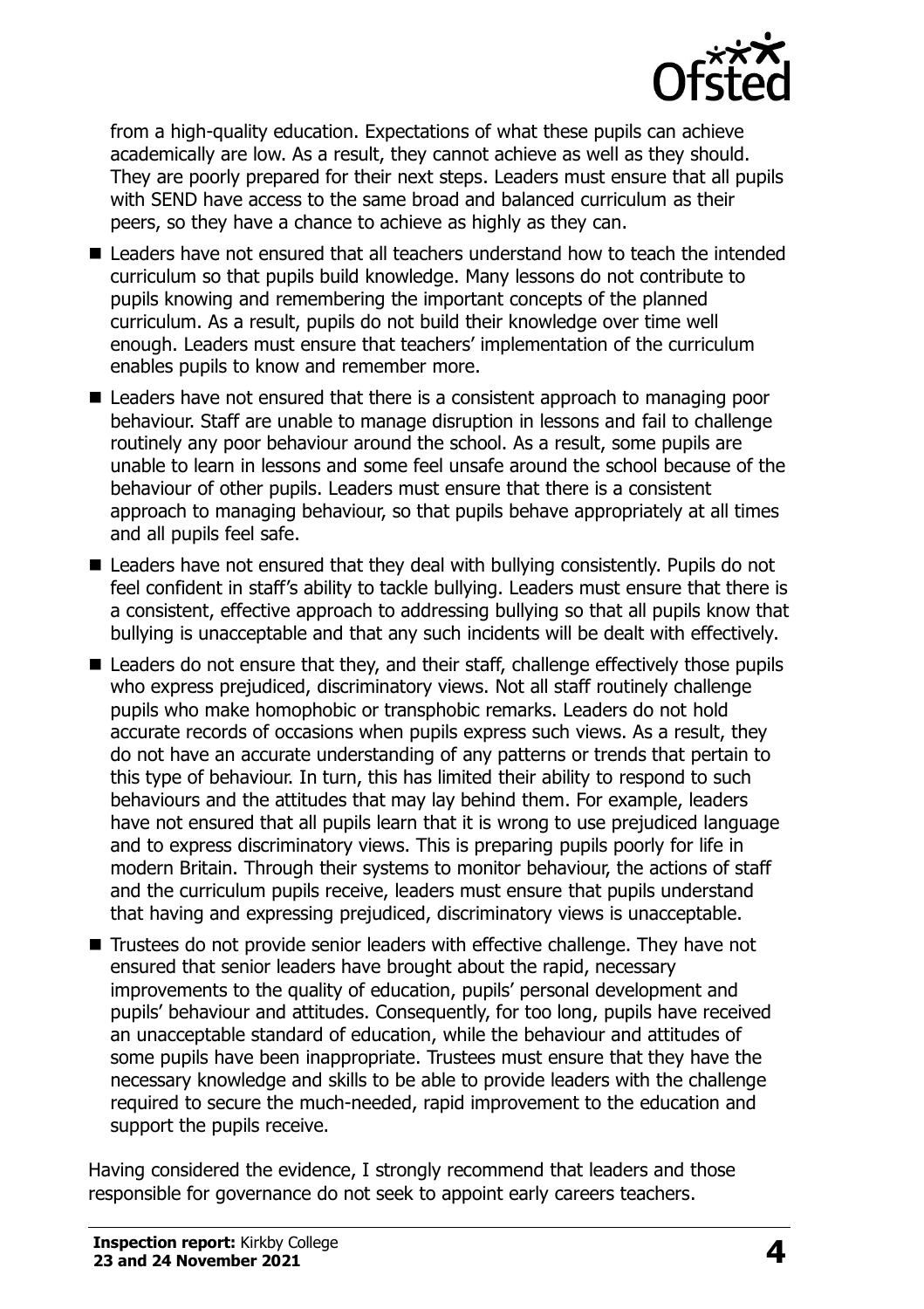

from a high-quality education. Expectations of what these pupils can achieve academically are low. As a result, they cannot achieve as well as they should. They are poorly prepared for their next steps. Leaders must ensure that all pupils with SEND have access to the same broad and balanced curriculum as their peers, so they have a chance to achieve as highly as they can.

- Leaders have not ensured that all teachers understand how to teach the intended curriculum so that pupils build knowledge. Many lessons do not contribute to pupils knowing and remembering the important concepts of the planned curriculum. As a result, pupils do not build their knowledge over time well enough. Leaders must ensure that teachers' implementation of the curriculum enables pupils to know and remember more.
- Leaders have not ensured that there is a consistent approach to managing poor behaviour. Staff are unable to manage disruption in lessons and fail to challenge routinely any poor behaviour around the school. As a result, some pupils are unable to learn in lessons and some feel unsafe around the school because of the behaviour of other pupils. Leaders must ensure that there is a consistent approach to managing behaviour, so that pupils behave appropriately at all times and all pupils feel safe.
- Leaders have not ensured that they deal with bullying consistently. Pupils do not feel confident in staff's ability to tackle bullying. Leaders must ensure that there is a consistent, effective approach to addressing bullying so that all pupils know that bullying is unacceptable and that any such incidents will be dealt with effectively.
- Leaders do not ensure that they, and their staff, challenge effectively those pupils who express prejudiced, discriminatory views. Not all staff routinely challenge pupils who make homophobic or transphobic remarks. Leaders do not hold accurate records of occasions when pupils express such views. As a result, they do not have an accurate understanding of any patterns or trends that pertain to this type of behaviour. In turn, this has limited their ability to respond to such behaviours and the attitudes that may lay behind them. For example, leaders have not ensured that all pupils learn that it is wrong to use prejudiced language and to express discriminatory views. This is preparing pupils poorly for life in modern Britain. Through their systems to monitor behaviour, the actions of staff and the curriculum pupils receive, leaders must ensure that pupils understand that having and expressing prejudiced, discriminatory views is unacceptable.
- Trustees do not provide senior leaders with effective challenge. They have not ensured that senior leaders have brought about the rapid, necessary improvements to the quality of education, pupils' personal development and pupils' behaviour and attitudes. Consequently, for too long, pupils have received an unacceptable standard of education, while the behaviour and attitudes of some pupils have been inappropriate. Trustees must ensure that they have the necessary knowledge and skills to be able to provide leaders with the challenge required to secure the much-needed, rapid improvement to the education and support the pupils receive.

Having considered the evidence, I strongly recommend that leaders and those responsible for governance do not seek to appoint early careers teachers.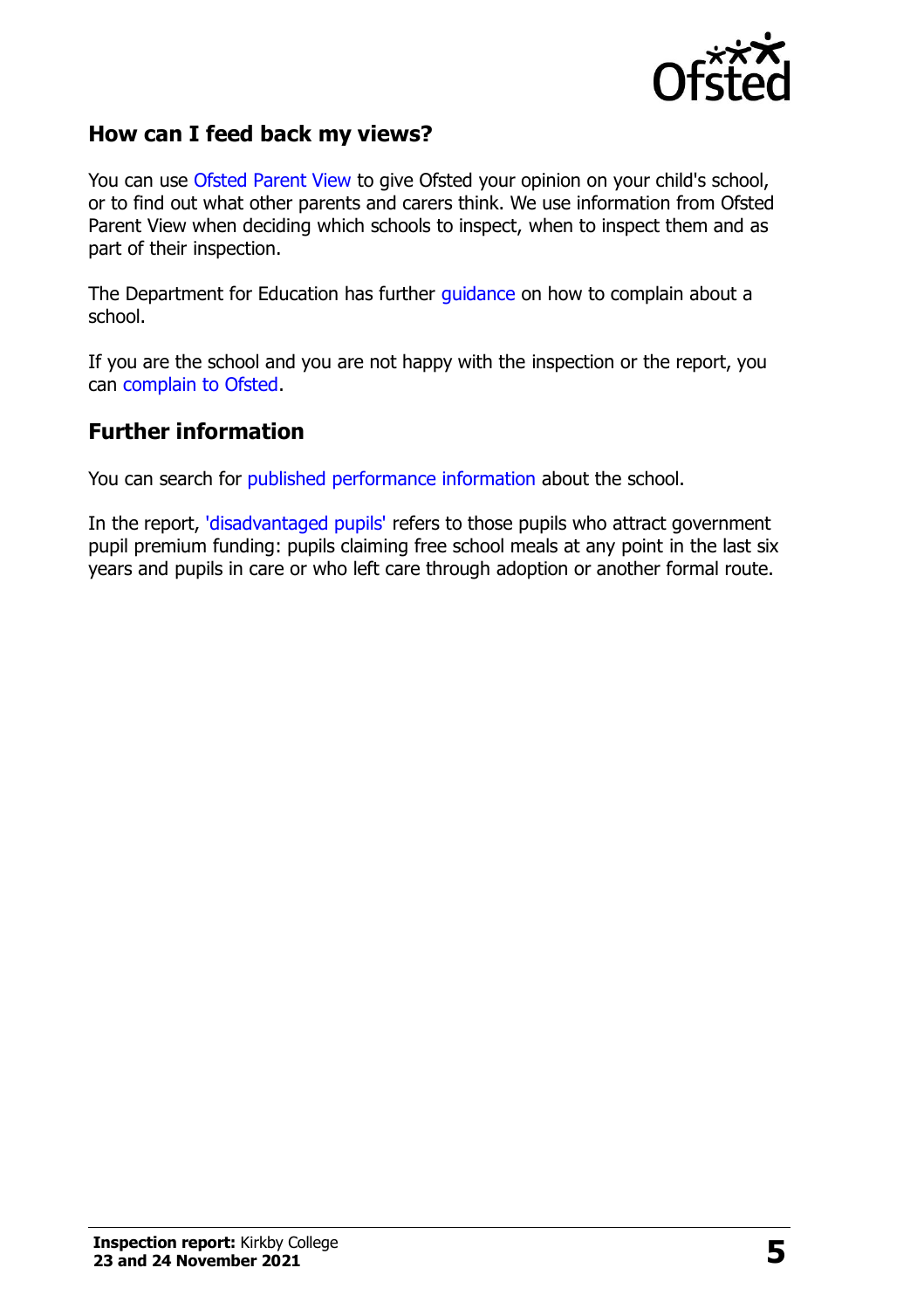

#### **How can I feed back my views?**

You can use [Ofsted Parent View](http://parentview.ofsted.gov.uk/) to give Ofsted your opinion on your child's school, or to find out what other parents and carers think. We use information from Ofsted Parent View when deciding which schools to inspect, when to inspect them and as part of their inspection.

The Department for Education has further [guidance](http://www.gov.uk/complain-about-school) on how to complain about a school.

If you are the school and you are not happy with the inspection or the report, you can [complain to Ofsted.](http://www.gov.uk/complain-ofsted-report)

#### **Further information**

You can search for [published performance information](http://www.compare-school-performance.service.gov.uk/) about the school.

In the report, ['disadvantaged pupils'](http://www.gov.uk/guidance/pupil-premium-information-for-schools-and-alternative-provision-settings) refers to those pupils who attract government pupil premium funding: pupils claiming free school meals at any point in the last six years and pupils in care or who left care through adoption or another formal route.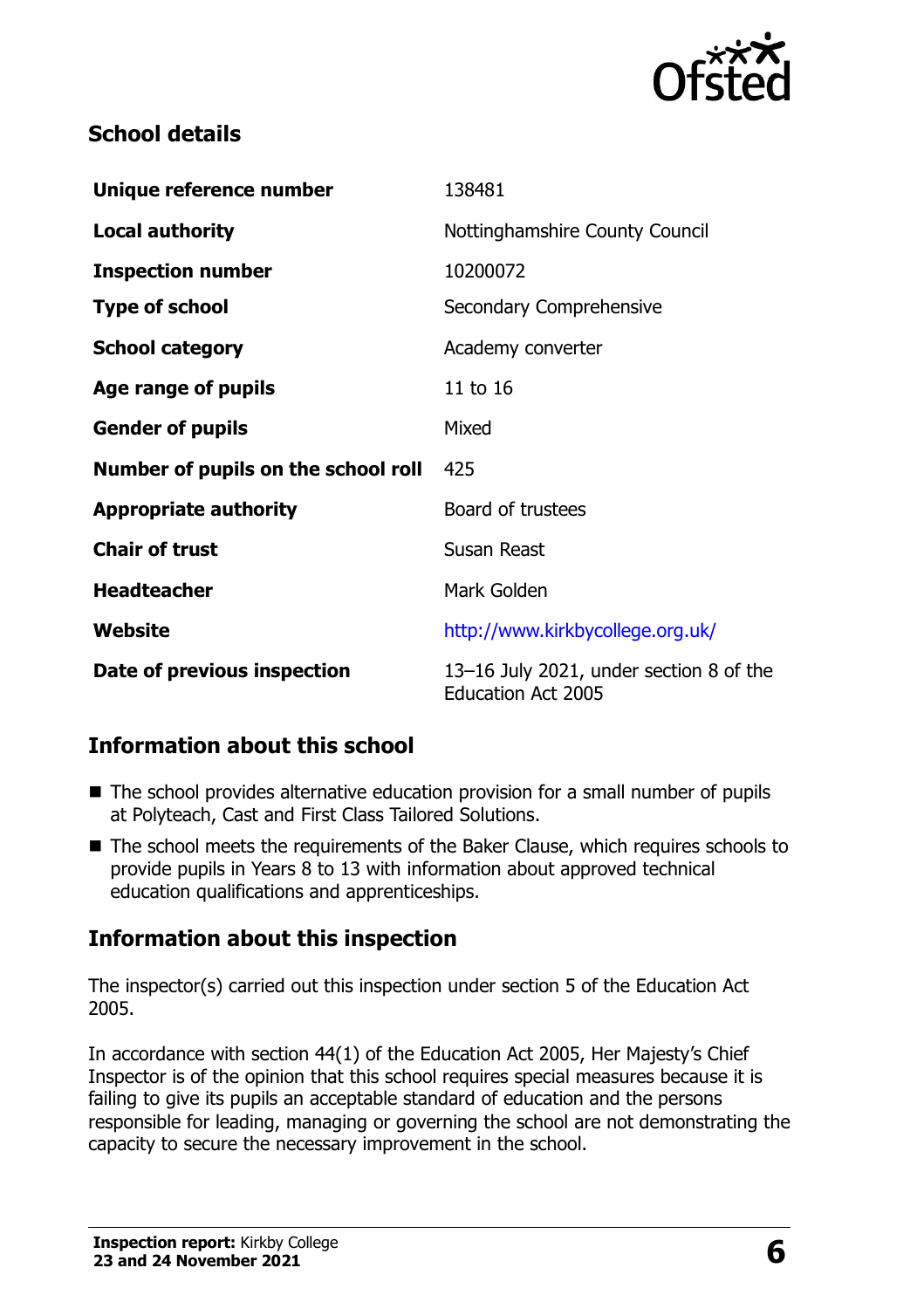

## **School details**

| Unique reference number             | 138481                                                               |
|-------------------------------------|----------------------------------------------------------------------|
| <b>Local authority</b>              | Nottinghamshire County Council                                       |
| <b>Inspection number</b>            | 10200072                                                             |
| <b>Type of school</b>               | Secondary Comprehensive                                              |
| <b>School category</b>              | Academy converter                                                    |
| Age range of pupils                 | 11 to 16                                                             |
| <b>Gender of pupils</b>             | Mixed                                                                |
| Number of pupils on the school roll | 425                                                                  |
| <b>Appropriate authority</b>        | Board of trustees                                                    |
| <b>Chair of trust</b>               | Susan Reast                                                          |
| <b>Headteacher</b>                  | Mark Golden                                                          |
| Website                             | http://www.kirkbycollege.org.uk/                                     |
| Date of previous inspection         | 13-16 July 2021, under section 8 of the<br><b>Education Act 2005</b> |

# **Information about this school**

- The school provides alternative education provision for a small number of pupils at Polyteach, Cast and First Class Tailored Solutions.
- The school meets the requirements of the Baker Clause, which requires schools to provide pupils in Years 8 to 13 with information about approved technical education qualifications and apprenticeships.

### **Information about this inspection**

The inspector(s) carried out this inspection under section 5 of the Education Act 2005.

In accordance with section 44(1) of the Education Act 2005, Her Majesty's Chief Inspector is of the opinion that this school requires special measures because it is failing to give its pupils an acceptable standard of education and the persons responsible for leading, managing or governing the school are not demonstrating the capacity to secure the necessary improvement in the school.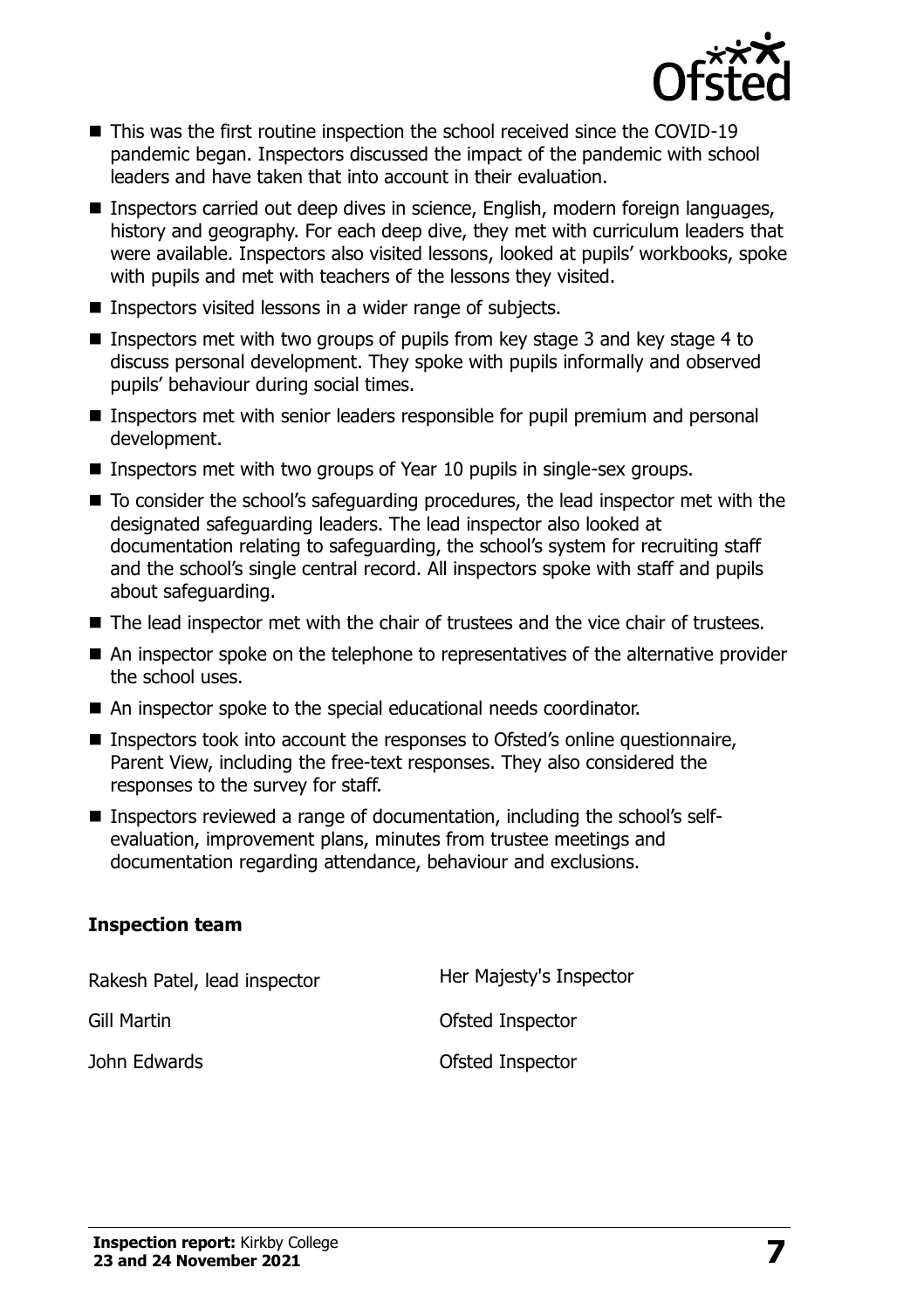

- This was the first routine inspection the school received since the COVID-19 pandemic began. Inspectors discussed the impact of the pandemic with school leaders and have taken that into account in their evaluation.
- Inspectors carried out deep dives in science, English, modern foreign languages, history and geography. For each deep dive, they met with curriculum leaders that were available. Inspectors also visited lessons, looked at pupils' workbooks, spoke with pupils and met with teachers of the lessons they visited.
- Inspectors visited lessons in a wider range of subjects.
- $\blacksquare$  Inspectors met with two groups of pupils from key stage 3 and key stage 4 to discuss personal development. They spoke with pupils informally and observed pupils' behaviour during social times.
- Inspectors met with senior leaders responsible for pupil premium and personal development.
- Inspectors met with two groups of Year 10 pupils in single-sex groups.
- To consider the school's safeguarding procedures, the lead inspector met with the designated safeguarding leaders. The lead inspector also looked at documentation relating to safeguarding, the school's system for recruiting staff and the school's single central record. All inspectors spoke with staff and pupils about safeguarding.
- The lead inspector met with the chair of trustees and the vice chair of trustees.
- An inspector spoke on the telephone to representatives of the alternative provider the school uses.
- An inspector spoke to the special educational needs coordinator.
- Inspectors took into account the responses to Ofsted's online questionnaire, Parent View, including the free-text responses. They also considered the responses to the survey for staff.
- Inspectors reviewed a range of documentation, including the school's selfevaluation, improvement plans, minutes from trustee meetings and documentation regarding attendance, behaviour and exclusions.

#### **Inspection team**

Rakesh Patel, lead inspector **Her Majesty's Inspector** Gill Martin **Gill Martin Constanting Constanting Constanting Constanting Constanting Constanting Constanting Constanting Constanting Constanting Constanting Constanting Constanting Constanting Constanting Constanting Con** John Edwards **Contact Edwards** Contact Contact Contact Contact Contact Contact Contact Contact Contact Contact Contact Contact Contact Contact Contact Contact Contact Contact Contact Contact Contact Contact Contact Contact